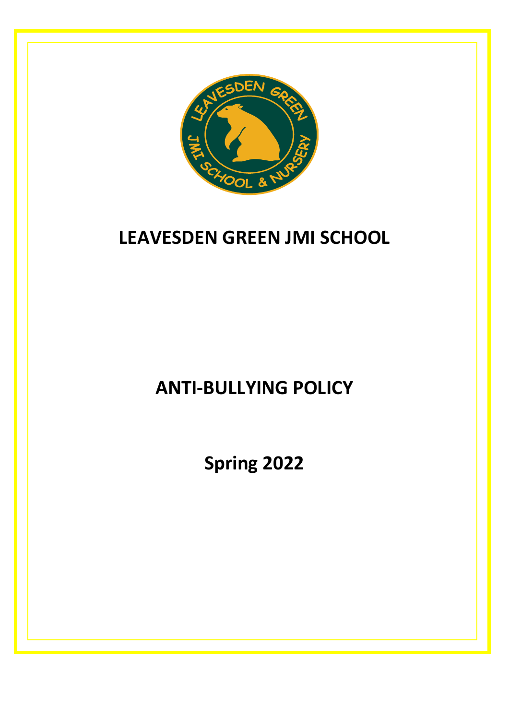

## **LEAVESDEN GREEN JMI SCHOOL**

# **ANTI-BULLYING POLICY**

**Spring 2022**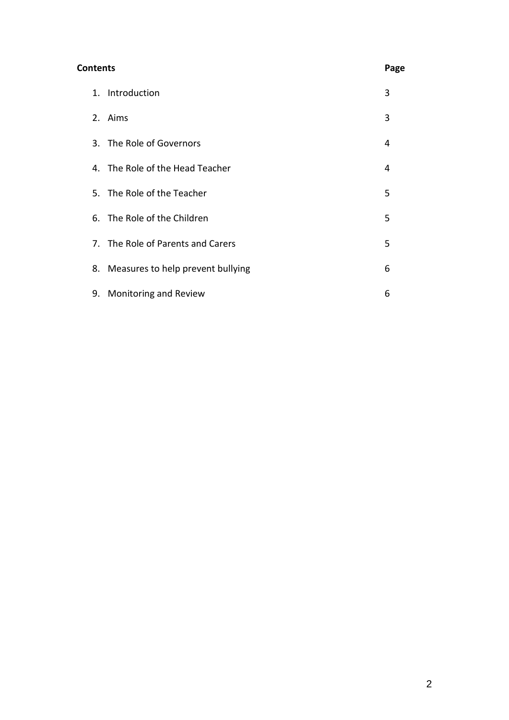| Contents |  |                                      | Page |
|----------|--|--------------------------------------|------|
|          |  | 1. Introduction                      | 3    |
|          |  | 2. Aims                              | 3    |
|          |  | 3. The Role of Governors             | 4    |
|          |  | 4. The Role of the Head Teacher      | 4    |
|          |  | 5. The Role of the Teacher           | 5    |
|          |  | 6. The Role of the Children          | 5    |
|          |  | 7. The Role of Parents and Carers    | 5    |
|          |  | 8. Measures to help prevent bullying | 6    |
|          |  | 9. Monitoring and Review             | 6    |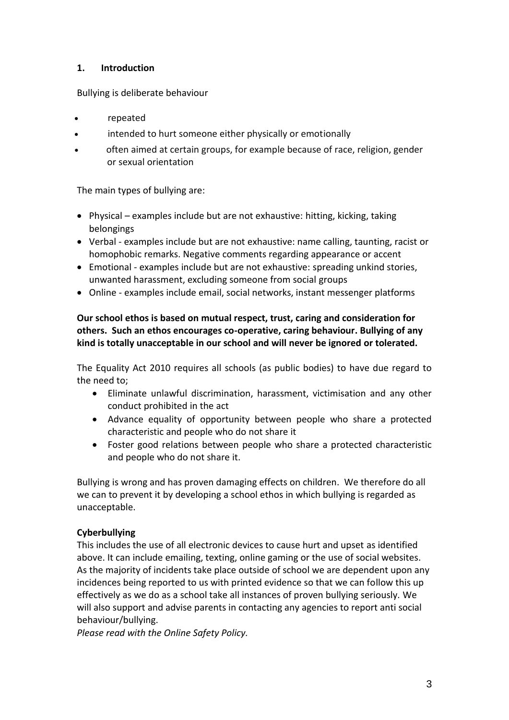#### **1. Introduction**

Bullying is deliberate behaviour

- repeated
- intended to hurt someone either physically or emotionally
- often aimed at certain groups, for example because of race, religion, gender or sexual orientation

The main types of bullying are:

- Physical examples include but are not exhaustive: hitting, kicking, taking belongings
- Verbal examples include but are not exhaustive: name calling, taunting, racist or homophobic remarks. Negative comments regarding appearance or accent
- Emotional examples include but are not exhaustive: spreading unkind stories, unwanted harassment, excluding someone from social groups
- Online examples include email, social networks, instant messenger platforms

#### **Our school ethos is based on mutual respect, trust, caring and consideration for others. Such an ethos encourages co-operative, caring behaviour. Bullying of any kind is totally unacceptable in our school and will never be ignored or tolerated.**

The Equality Act 2010 requires all schools (as public bodies) to have due regard to the need to;

- Eliminate unlawful discrimination, harassment, victimisation and any other conduct prohibited in the act
- Advance equality of opportunity between people who share a protected characteristic and people who do not share it
- Foster good relations between people who share a protected characteristic and people who do not share it.

Bullying is wrong and has proven damaging effects on children. We therefore do all we can to prevent it by developing a school ethos in which bullying is regarded as unacceptable.

## **Cyberbullying**

This includes the use of all electronic devices to cause hurt and upset as identified above. It can include emailing, texting, online gaming or the use of social websites. As the majority of incidents take place outside of school we are dependent upon any incidences being reported to us with printed evidence so that we can follow this up effectively as we do as a school take all instances of proven bullying seriously. We will also support and advise parents in contacting any agencies to report anti social behaviour/bullying.

*Please read with the Online Safety Policy.*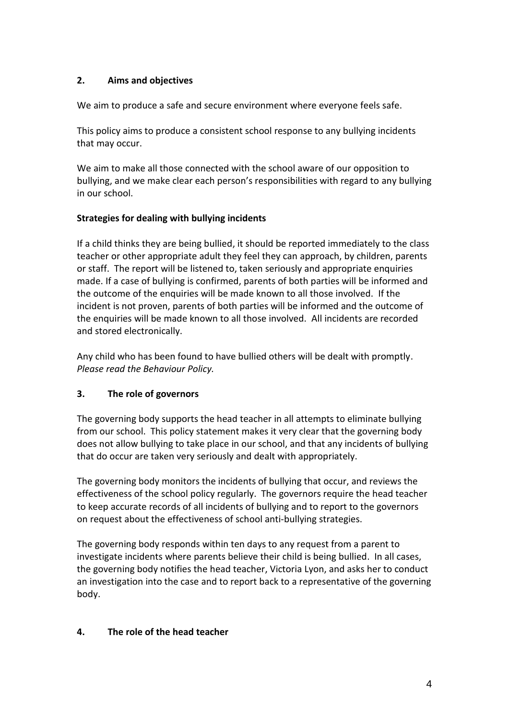## **2. Aims and objectives**

We aim to produce a safe and secure environment where everyone feels safe.

This policy aims to produce a consistent school response to any bullying incidents that may occur.

We aim to make all those connected with the school aware of our opposition to bullying, and we make clear each person's responsibilities with regard to any bullying in our school.

## **Strategies for dealing with bullying incidents**

If a child thinks they are being bullied, it should be reported immediately to the class teacher or other appropriate adult they feel they can approach, by children, parents or staff. The report will be listened to, taken seriously and appropriate enquiries made. If a case of bullying is confirmed, parents of both parties will be informed and the outcome of the enquiries will be made known to all those involved. If the incident is not proven, parents of both parties will be informed and the outcome of the enquiries will be made known to all those involved. All incidents are recorded and stored electronically.

Any child who has been found to have bullied others will be dealt with promptly. *Please read the Behaviour Policy.* 

## **3. The role of governors**

The governing body supports the head teacher in all attempts to eliminate bullying from our school. This policy statement makes it very clear that the governing body does not allow bullying to take place in our school, and that any incidents of bullying that do occur are taken very seriously and dealt with appropriately.

The governing body monitors the incidents of bullying that occur, and reviews the effectiveness of the school policy regularly. The governors require the head teacher to keep accurate records of all incidents of bullying and to report to the governors on request about the effectiveness of school anti-bullying strategies.

The governing body responds within ten days to any request from a parent to investigate incidents where parents believe their child is being bullied. In all cases, the governing body notifies the head teacher, Victoria Lyon, and asks her to conduct an investigation into the case and to report back to a representative of the governing body.

## **4. The role of the head teacher**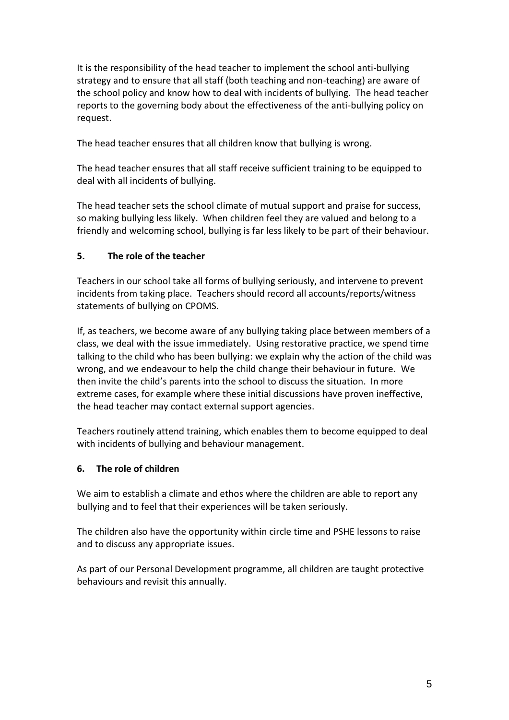It is the responsibility of the head teacher to implement the school anti-bullying strategy and to ensure that all staff (both teaching and non-teaching) are aware of the school policy and know how to deal with incidents of bullying. The head teacher reports to the governing body about the effectiveness of the anti-bullying policy on request.

The head teacher ensures that all children know that bullying is wrong.

The head teacher ensures that all staff receive sufficient training to be equipped to deal with all incidents of bullying.

The head teacher sets the school climate of mutual support and praise for success, so making bullying less likely. When children feel they are valued and belong to a friendly and welcoming school, bullying is far less likely to be part of their behaviour.

#### **5. The role of the teacher**

Teachers in our school take all forms of bullying seriously, and intervene to prevent incidents from taking place. Teachers should record all accounts/reports/witness statements of bullying on CPOMS.

If, as teachers, we become aware of any bullying taking place between members of a class, we deal with the issue immediately. Using restorative practice, we spend time talking to the child who has been bullying: we explain why the action of the child was wrong, and we endeavour to help the child change their behaviour in future. We then invite the child's parents into the school to discuss the situation. In more extreme cases, for example where these initial discussions have proven ineffective, the head teacher may contact external support agencies.

Teachers routinely attend training, which enables them to become equipped to deal with incidents of bullying and behaviour management.

#### **6. The role of children**

We aim to establish a climate and ethos where the children are able to report any bullying and to feel that their experiences will be taken seriously.

The children also have the opportunity within circle time and PSHE lessons to raise and to discuss any appropriate issues.

As part of our Personal Development programme, all children are taught protective behaviours and revisit this annually.